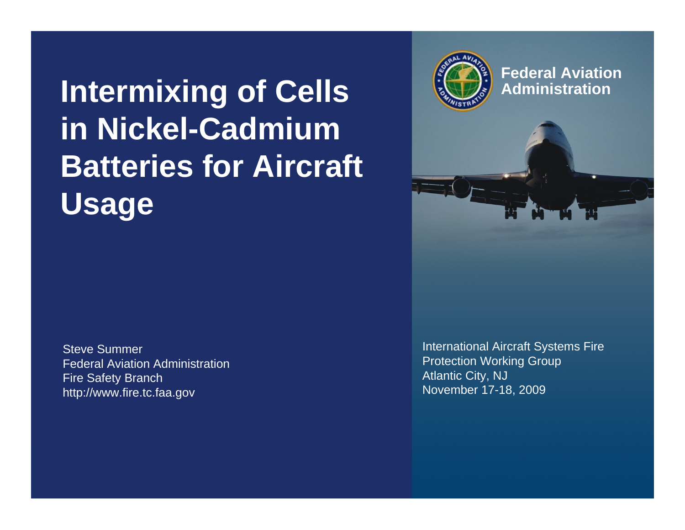## **Intermixing of Cells in Nickel-Cadmium Batteries for Aircraft Usage**

Steve SummerFederal Aviation AdministrationFire Safety Branch http://www.fire.tc.faa.gov

International Aircraft Systems Fire Protection Working Group Atlantic City, NJ November 17-18, 2009



**Federal AviationAdministration**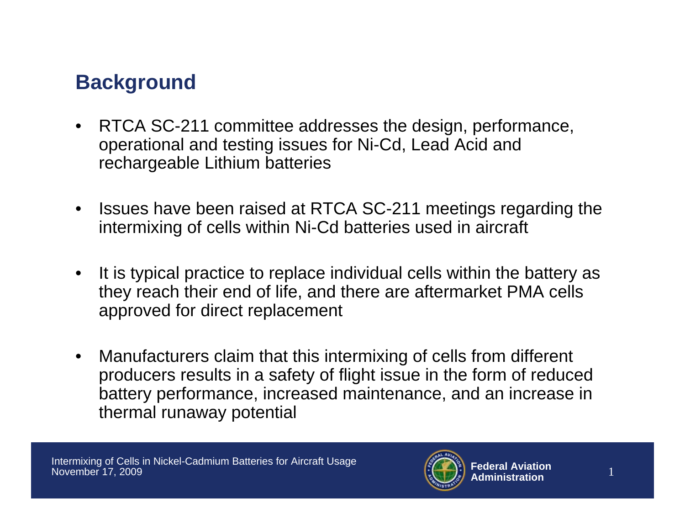## **Background**

- RTCA SC-211 committee addresses the design, performance, operational and testing issues for Ni-Cd, Lead Acid and rechargeable Lithium batteries
- $\bullet$  Issues have been raised at RTCA SC-211 meetings regarding the intermixing of cells within Ni-Cd batteries used in aircraft
- $\bullet$  It is typical practice to replace individual cells within the battery as they reach their end of life, and there are aftermarket PMA cells approved for direct replacement
- $\bullet$  Manufacturers claim that this intermixing of cells from different producers results in a safety of flight issue in the form of reduced battery performance, increased maintenance, and an increase in thermal runaway potential

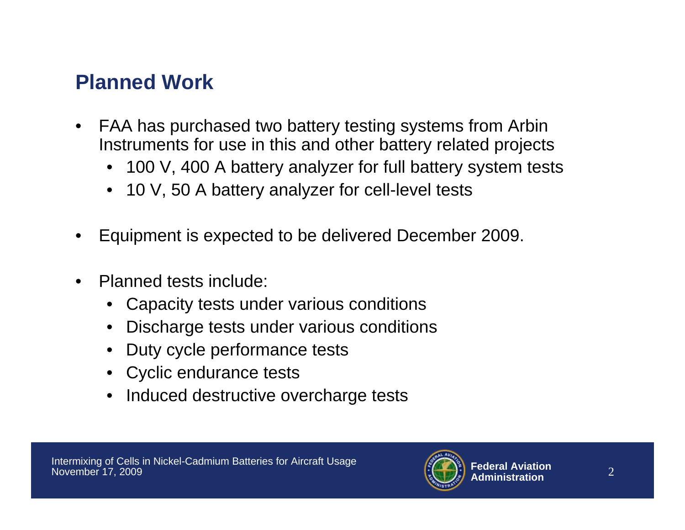## **Planned Work**

- $\bullet$  FAA has purchased two battery testing systems from Arbin Instruments for use in this and other battery related projects
	- 100 V, 400 A battery analyzer for full battery system tests
	- 10 V, 50 A battery analyzer for cell-level tests
- •Equipment is expected to be delivered December 2009.
- • Planned tests include:
	- Capacity tests under various conditions
	- •Discharge tests under various conditions
	- Duty cycle performance tests
	- Cyclic endurance tests
	- Induced destructive overcharge tests